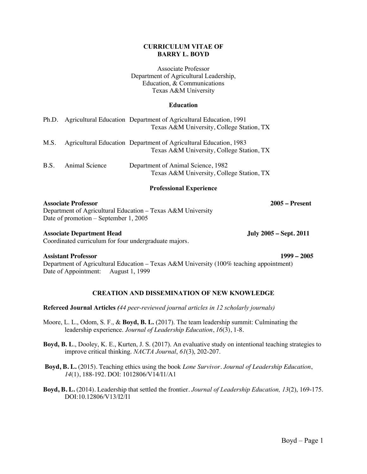#### **CURRICULUM VITAE OF BARRY L. BOYD**

Associate Professor Department of Agricultural Leadership, Education, & Communications Texas A&M University

### **Education**

|      |                | Ph.D. Agricultural Education Department of Agricultural Education, 1991<br>Texas A&M University, College Station, TX |
|------|----------------|----------------------------------------------------------------------------------------------------------------------|
| M.S. |                | Agricultural Education Department of Agricultural Education, 1983<br>Texas A&M University, College Station, TX       |
| B.S. | Animal Science | Department of Animal Science, 1982<br>Texas A&M University, College Station, TX                                      |

#### **Professional Experience**

#### **Associate Professor 2005 – Present**

Department of Agricultural Education – Texas A&M University Date of promotion – September 1, 2005

#### **Associate Department Head July 2005 – Sept. 2011**

Coordinated curriculum for four undergraduate majors.

#### **Assistant Professor 1999 – 2005**

Department of Agricultural Education – Texas A&M University (100% teaching appointment) Date of Appointment: August 1, 1999

# **CREATION AND DISSEMINATION OF NEW KNOWLEDGE**

**Refereed Journal Articles** *(44 peer-reviewed journal articles in 12 scholarly journals)*

- Moore, L. L., Odom, S. F., & **Boyd, B. L.** (2017). The team leadership summit: Culminating the leadership experience. *Journal of Leadership Education*, *16*(3), 1-8.
- **Boyd, B. L**., Dooley, K. E., Kurten, J. S. (2017). An evaluative study on intentional teaching strategies to improve critical thinking. *NACTA Journal*, *61*(3), 202-207.
- **Boyd, B. L.** (2015). Teaching ethics using the book *Lone Survivor*. *Journal of Leadership Education*, *14*(1), 188-192. DOI: 1012806/V14/I1/A1
- **Boyd, B. L.** (2014). Leadership that settled the frontier. *Journal of Leadership Education, 13*(2), 169-175. DOI:10.12806/V13/I2/I1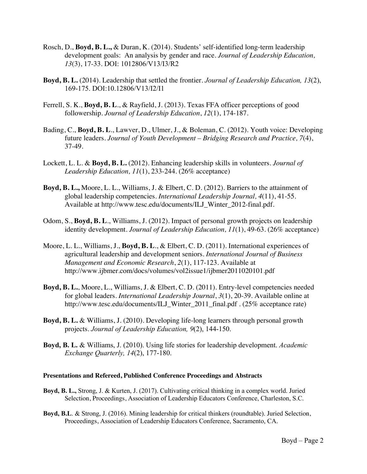- Rosch, D., **Boyd, B. L.,** & Duran, K. (2014). Students' self-identified long-term leadership development goals: An analysis by gender and race. *Journal of Leadership Education, 13*(3), 17-33. DOI: 1012806/V13/I3/R2
- **Boyd, B. L.** (2014). Leadership that settled the frontier. *Journal of Leadership Education, 13*(2), 169-175. DOI:10.12806/V13/I2/I1
- Ferrell, S. K., **Boyd, B. L**., & Rayfield, J. (2013). Texas FFA officer perceptions of good followership. *Journal of Leadership Education*, *12*(1), 174-187.
- Bading, C., **Boyd, B. L**., Lawver, D., Ulmer, J., & Boleman, C. (2012). Youth voice: Developing future leaders. *Journal of Youth Development – Bridging Research and Practice, 7*(4), 37-49.
- Lockett, L. L. & **Boyd, B. L.** (2012). Enhancing leadership skills in volunteers. *Journal of Leadership Education, 11*(1), 233-244. (26% acceptance)
- **Boyd, B. L.,** Moore, L. L., Williams, J. & Elbert, C. D. (2012). Barriers to the attainment of global leadership competencies. *International Leadership Journal, 4*(11), 41-55. Available at http://www.tesc.edu/documents/ILJ\_Winter\_2012-final.pdf.
- Odom, S., **Boyd, B. L**., Williams, J. (2012). Impact of personal growth projects on leadership identity development. *Journal of Leadership Education, 11*(1), 49-63. (26% acceptance)
- Moore, L. L., Williams, J., **Boyd, B. L**., & Elbert, C. D. (2011). International experiences of agricultural leadership and development seniors. *International Journal of Business Management and Economic Research*, *2*(1), 117-123. Available at http://www.ijbmer.com/docs/volumes/vol2issue1/ijbmer2011020101.pdf
- **Boyd, B. L.**, Moore, L., Williams, J. & Elbert, C. D. (2011). Entry-level competencies needed for global leaders. *International Leadership Journal*, *3*(1), 20-39. Available online at http://www.tesc.edu/documents/ILJ\_Winter\_2011\_final.pdf . (25% acceptance rate)
- **Boyd, B. L.** & Williams, J. (2010). Developing life-long learners through personal growth projects. *Journal of Leadership Education, 9*(2), 144-150.
- **Boyd, B. L.** & Williams, J. (2010). Using life stories for leadership development. *Academic Exchange Quarterly, 14*(2), 177-180.

#### **Presentations and Refereed, Published Conference Proceedings and Abstracts**

- **Boyd, B. L.,** Strong, J. & Kurten, J. (2017). Cultivating critical thinking in a complex world. Juried Selection, Proceedings, Association of Leadership Educators Conference, Charleston, S.C.
- **Boyd, B.L**. & Strong, J. (2016). Mining leadership for critical thinkers (roundtable). Juried Selection, Proceedings, Association of Leadership Educators Conference, Sacramento, CA.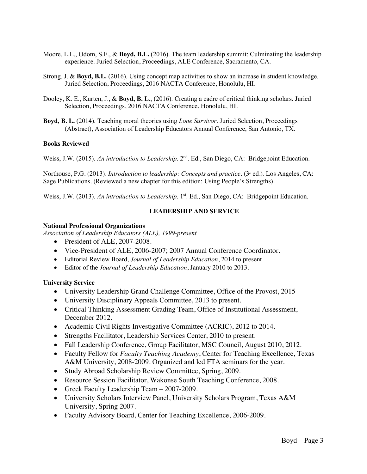- Moore, L.L., Odom, S.F., & **Boyd, B.L.** (2016). The team leadership summit: Culminating the leadership experience. Juried Selection, Proceedings, ALE Conference, Sacramento, CA.
- Strong, J. & **Boyd, B.L.** (2016). Using concept map activities to show an increase in student knowledge. Juried Selection, Proceedings, 2016 NACTA Conference, Honolulu, HI.
- Dooley, K. E., Kurten, J., & **Boyd, B. L**., (2016). Creating a cadre of critical thinking scholars. Juried Selection, Proceedings, 2016 NACTA Conference, Honolulu, HI.
- **Boyd, B. L.** (2014). Teaching moral theories using *Lone Survivor*. Juried Selection, Proceedings (Abstract), Association of Leadership Educators Annual Conference, San Antonio, TX.

#### **Books Reviewed**

Weiss, J.W. (2015). *An introduction to Leadership*. 2<sup>nd</sup>. Ed., San Diego, CA: Bridgepoint Education.

Northouse, P.G. (2013). *Introduction to leadership: Concepts and practice*. (3<sup>*d*</sup> ed.). Los Angeles, CA: Sage Publications. (Reviewed a new chapter for this edition: Using People's Strengths).

Weiss, J.W. (2013). *An introduction to Leadership*. 1<sup>st</sup>. Ed., San Diego, CA: Bridgepoint Education.

# **LEADERSHIP AND SERVICE**

#### **National Professional Organizations**

*Association of Leadership Educators (ALE), 1999-present*

- President of ALE, 2007-2008.
- Vice-President of ALE, 2006-2007; 2007 Annual Conference Coordinator.
- Editorial Review Board, *Journal of Leadership Education*, 2014 to present
- Editor of the *Journal of Leadership Education*, January 2010 to 2013.

#### **University Service**

- University Leadership Grand Challenge Committee, Office of the Provost, 2015
- University Disciplinary Appeals Committee, 2013 to present.
- Critical Thinking Assessment Grading Team, Office of Institutional Assessment, December 2012.
- Academic Civil Rights Investigative Committee (ACRIC), 2012 to 2014.
- Strengths Facilitator, Leadership Services Center, 2010 to present.
- Fall Leadership Conference, Group Facilitator, MSC Council, August 2010, 2012.
- Faculty Fellow for *Faculty Teaching Academy*, Center for Teaching Excellence, Texas A&M University, 2008-2009. Organized and led FTA seminars for the year.
- Study Abroad Scholarship Review Committee, Spring, 2009.
- Resource Session Facilitator, Wakonse South Teaching Conference, 2008.
- Greek Faculty Leadership Team 2007-2009.
- University Scholars Interview Panel, University Scholars Program, Texas A&M University, Spring 2007.
- Faculty Advisory Board, Center for Teaching Excellence, 2006-2009.